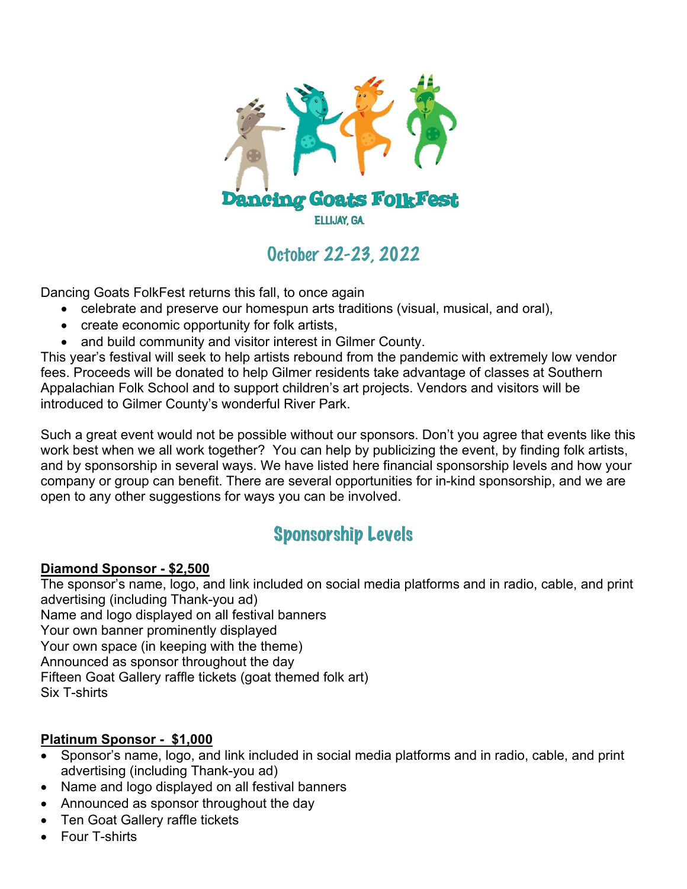

## October 22-23, 2022

Dancing Goats FolkFest returns this fall, to once again

- celebrate and preserve our homespun arts traditions (visual, musical, and oral),
- create economic opportunity for folk artists,
- and build community and visitor interest in Gilmer County.

This year's festival will seek to help artists rebound from the pandemic with extremely low vendor fees. Proceeds will be donated to help Gilmer residents take advantage of classes at Southern Appalachian Folk School and to support children's art projects. Vendors and visitors will be introduced to Gilmer County's wonderful River Park.

Such a great event would not be possible without our sponsors. Don't you agree that events like this work best when we all work together? You can help by publicizing the event, by finding folk artists, and by sponsorship in several ways. We have listed here financial sponsorship levels and how your company or group can benefit. There are several opportunities for in-kind sponsorship, and we are open to any other suggestions for ways you can be involved.

## Sponsorship Levels

#### **Diamond Sponsor - \$2,500**

The sponsor's name, logo, and link included on social media platforms and in radio, cable, and print advertising (including Thank-you ad) Name and logo displayed on all festival banners Your own banner prominently displayed Your own space (in keeping with the theme) Announced as sponsor throughout the day Fifteen Goat Gallery raffle tickets (goat themed folk art) Six T-shirts

#### **Platinum Sponsor - \$1,000**

- Sponsor's name, logo, and link included in social media platforms and in radio, cable, and print advertising (including Thank-you ad)
- Name and logo displayed on all festival banners
- Announced as sponsor throughout the day
- Ten Goat Gallery raffle tickets
- Four T-shirts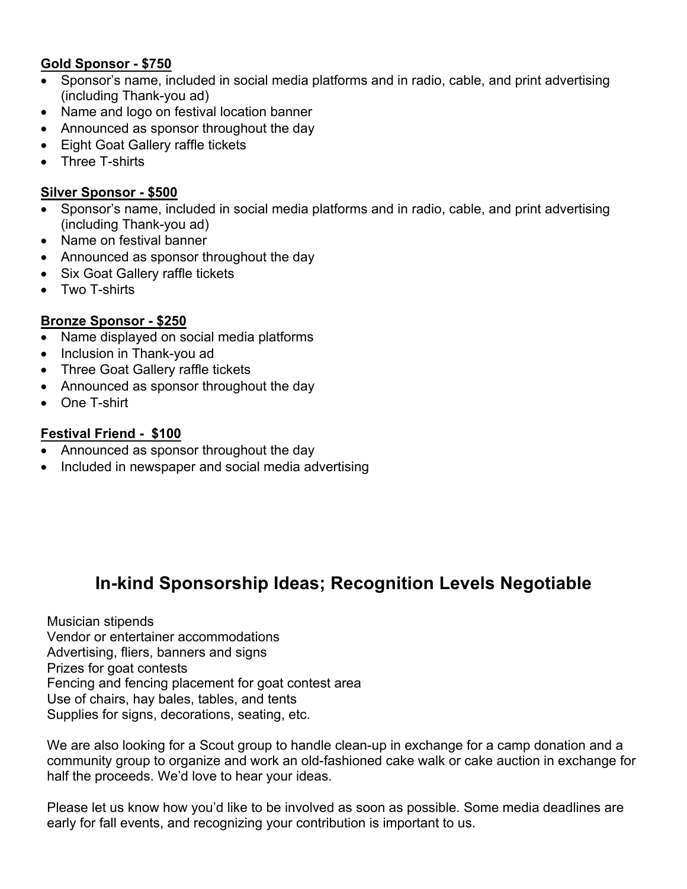#### **Gold Sponsor - \$750**

- Sponsor's name, included in social media platforms and in radio, cable, and print advertising (including Thank-you ad)
- Name and logo on festival location banner
- Announced as sponsor throughout the day
- Eight Goat Gallery raffle tickets
- Three T-shirts

#### **Silver Sponsor - \$500**

- Sponsor's name, included in social media platforms and in radio, cable, and print advertising (including Thank-you ad)
- Name on festival banner
- Announced as sponsor throughout the day
- Six Goat Gallery raffle tickets
- Two T-shirts

#### **Bronze Sponsor - \$250**

- Name displayed on social media platforms
- Inclusion in Thank-you ad
- Three Goat Gallery raffle tickets
- Announced as sponsor throughout the day
- One T-shirt

#### **Festival Friend - \$100**

- Announced as sponsor throughout the day
- Included in newspaper and social media advertising

### **In-kind Sponsorship Ideas; Recognition Levels Negotiable**

Musician stipends Vendor or entertainer accommodations Advertising, fliers, banners and signs Prizes for goat contests Fencing and fencing placement for goat contest area Use of chairs, hay bales, tables, and tents Supplies for signs, decorations, seating, etc.

We are also looking for a Scout group to handle clean-up in exchange for a camp donation and a community group to organize and work an old-fashioned cake walk or cake auction in exchange for half the proceeds. We'd love to hear your ideas.

Please let us know how you'd like to be involved as soon as possible. Some media deadlines are early for fall events, and recognizing your contribution is important to us.